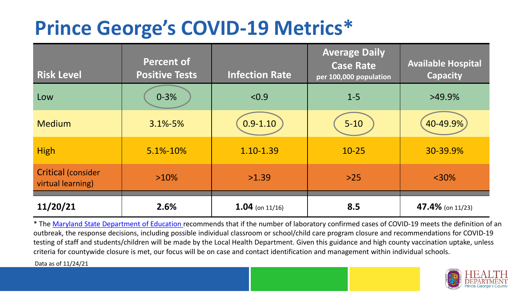## **Prince George's COVID-19 Metrics\***

| <b>Risk Level</b>                              | <b>Percent of</b><br><b>Positive Tests</b> | <b>Infection Rate</b> | <b>Average Daily</b><br><b>Case Rate</b><br>per 100,000 population | <b>Available Hospital</b><br><b>Capacity</b> |
|------------------------------------------------|--------------------------------------------|-----------------------|--------------------------------------------------------------------|----------------------------------------------|
| Low                                            | $0 - 3%$                                   | < 0.9                 | $1 - 5$                                                            | $>49.9\%$                                    |
| <b>Medium</b>                                  | 3.1%-5%                                    | $0.9 - 1.10$          | $5 - 10$                                                           | 40-49.9%                                     |
| <b>High</b>                                    | 5.1%-10%                                   | 1.10-1.39             | $10 - 25$                                                          | 30-39.9%                                     |
| <b>Critical (consider</b><br>virtual learning) | $>10\%$                                    | >1.39                 | $>25$                                                              | $<$ 30%                                      |
| 11/20/21                                       | 2.6%                                       | $1.04$ (on 11/16)     | 8.5                                                                | 47.4% (on 11/23)                             |

\* The [Maryland State Department of Education r](https://earlychildhood.marylandpublicschools.org/system/files/filedepot/3/covid_guidance_full_080420.pdf)ecommends that if the number of laboratory confirmed cases of COVID-19 meets the definition of an outbreak, the response decisions, including possible individual classroom or school/child care program closure and recommendations for COVID-19 testing of staff and students/children will be made by the Local Health Department. Given this guidance and high county vaccination uptake, unless criteria for countywide closure is met, our focus will be on case and contact identification and management within individual schools.

Data as of 11/24/21

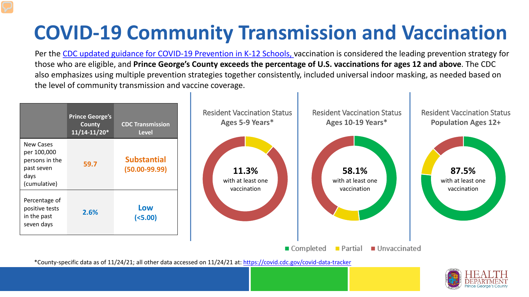# **COVID-19 Community Transmission and Vaccination**

Per the [CDC updated guidance for COVID-19 Prevention in K-12 Schools,](https://www.cdc.gov/coronavirus/2019-ncov/community/schools-childcare/k-12-guidance.html) vaccination is considered the leading prevention strategy for those who are eligible, and **Prince George's County exceeds the percentage of U.S. vaccinations for ages 12 and above**. The CDC also emphasizes using multiple prevention strategies together consistently, included universal indoor masking, as needed based on the level of community transmission and vaccine coverage.



\*County-specific data as of 11/24/21; all other data accessed on 11/24/21 at:<https://covid.cdc.gov/covid-data-tracker>

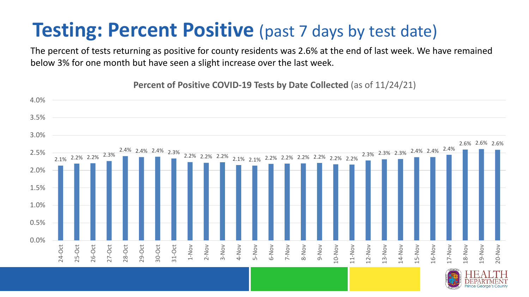### **Testing: Percent Positive** (past 7 days by test date)

The percent of tests returning as positive for county residents was 2.6% at the end of last week. We have remained below 3% for one month but have seen a slight increase over the last week.

2.1% 2.2% 2.2% 2.3% 2.4% 2.4% 2.4% 2.3% 2.2% 2.2% 2.2% 2.1% 2.1% 2.2% 2.2% 2.2% 2.2% 2.2% 2.2% 2.3% 2.3% 2.3% 2.4% 2.4% 2.4% 2.6% 2.6% 2.6% 0.0% 0.5% 1.0% 1.5% 2.0% 2.5% 3.0% 3.5% 4.0% 24-Oct 25-Oct 26-Oct 27-Oct 28-Oct 29-Oct 30-Oct 31-Oct 1-Nov 2-Nov 3-Nov 4-Nov 5-Nov 6-Nov 7-Nov 8-Nov 9-Nov 10-Nov 11-Nov 12-Nov 13-Nov 14-Nov 15-Nov 16-Nov 17-Nov 18-Nov 19-Nov 20-Nov

**Percent of Positive COVID-19 Tests by Date Collected** (as of 11/24/21)

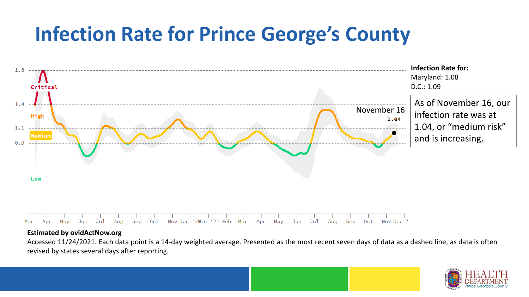## **Infection Rate for Prince George's County**



#### **Estimated by ovidActNow.org**

Accessed 11/24/2021. Each data point is a 14-day weighted average. Presented as the most recent seven days of data as a dashed line, as data is often revised by states several days after reporting.

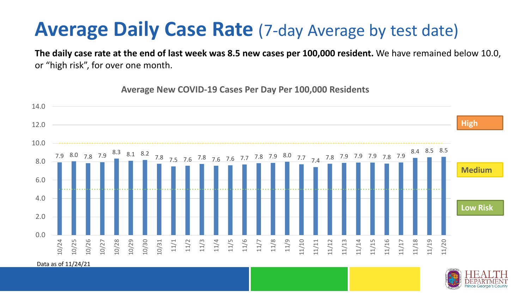### **Average Daily Case Rate** (7-day Average by test date)

**The daily case rate at the end of last week was 8.5 new cases per 100,000 resident.** We have remained below 10.0, or "high risk", for over one month.

7.9 8.0 7.8 7.9 8.3 8.1 8.2 7.8 7.5 7.6 7.8 7.6 7.6 7.7 7.8 7.9 8.0 7.7 7.4 7.8 7.9 7.9 7.9 7.8 7.9 8.4 8.5 8.5 0.0 2.0 4.0 6.0 8.0 10.0 12.0 14.0 10/24 10/25 10/26 10/27 10/28 10/29 10/30 10/31 11/1 11/2 11/3 11/4 11/5 11/6 11/7 11/8 11/9 11/10 11/11 11/12 11/13 11/14 11/15 11/16 11/17 11/18 11/19 11/20 **Low Risk Medium High**

**Average New COVID-19 Cases Per Day Per 100,000 Residents**

Data as of 11/24/21